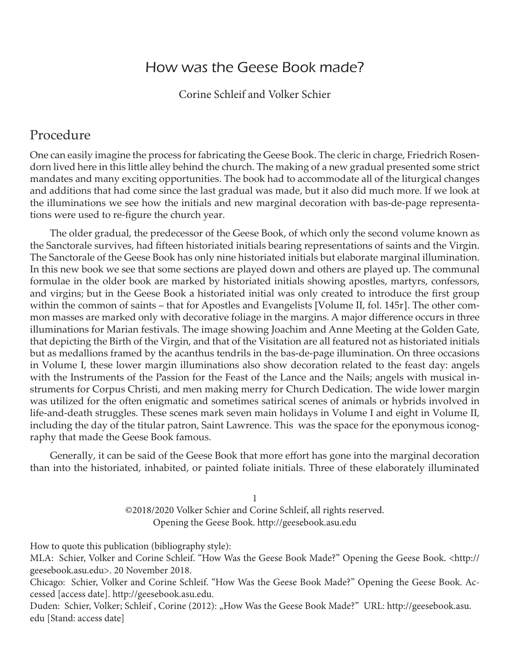# How was the Geese Book made?

Corine Schleif and Volker Schier

## Procedure

One can easily imagine the process for fabricating the Geese Book. The cleric in charge, Friedrich Rosendorn lived here in this little alley behind the church. The making of a new gradual presented some strict mandates and many exciting opportunities. The book had to accommodate all of the liturgical changes and additions that had come since the last gradual was made, but it also did much more. If we look at the illuminations we see how the initials and new marginal decoration with bas-de-page representations were used to re-figure the church year.

The older gradual, the predecessor of the Geese Book, of which only the second volume known as the Sanctorale survives, had fifteen historiated initials bearing representations of saints and the Virgin. The Sanctorale of the Geese Book has only nine historiated initials but elaborate marginal illumination. In this new book we see that some sections are played down and others are played up. The communal formulae in the older book are marked by historiated initials showing apostles, martyrs, confessors, and virgins; but in the Geese Book a historiated initial was only created to introduce the first group within the common of saints – that for Apostles and Evangelists [Volume II, fol. 145r]. The other common masses are marked only with decorative foliage in the margins. A major difference occurs in three illuminations for Marian festivals. The image showing Joachim and Anne Meeting at the Golden Gate, that depicting the Birth of the Virgin, and that of the Visitation are all featured not as historiated initials but as medallions framed by the acanthus tendrils in the bas-de-page illumination. On three occasions in Volume I, these lower margin illuminations also show decoration related to the feast day: angels with the Instruments of the Passion for the Feast of the Lance and the Nails; angels with musical instruments for Corpus Christi, and men making merry for Church Dedication. The wide lower margin was utilized for the often enigmatic and sometimes satirical scenes of animals or hybrids involved in life-and-death struggles. These scenes mark seven main holidays in Volume I and eight in Volume II, including the day of the titular patron, Saint Lawrence. This was the space for the eponymous iconography that made the Geese Book famous.

Generally, it can be said of the Geese Book that more effort has gone into the marginal decoration than into the historiated, inhabited, or painted foliate initials. Three of these elaborately illuminated

> 1 ©2018/2020 Volker Schier and Corine Schleif, all rights reserved. Opening the Geese Book. http://geesebook.asu.edu

How to quote this publication (bibliography style):

MLA: Schier, Volker and Corine Schleif. "How Was the Geese Book Made?" Opening the Geese Book. <http:// geesebook.asu.edu>. 20 November 2018.

Chicago: Schier, Volker and Corine Schleif. "How Was the Geese Book Made?" Opening the Geese Book. Accessed [access date]. http://geesebook.asu.edu.

Duden: Schier, Volker; Schleif, Corine (2012): "How Was the Geese Book Made?" URL: http://geesebook.asu. edu [Stand: access date]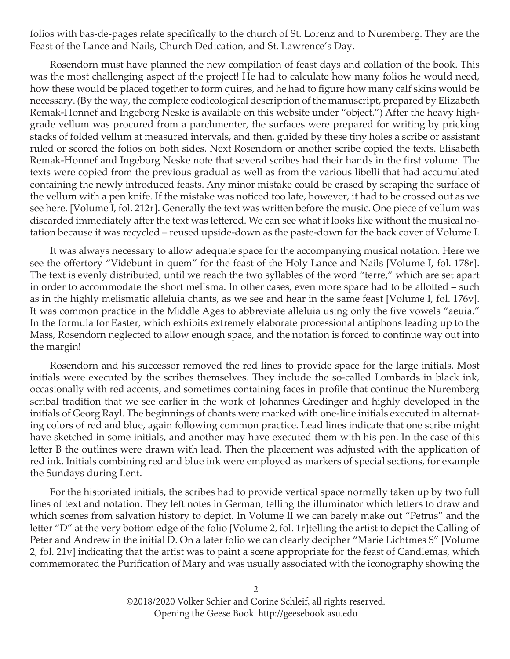folios with bas-de-pages relate specifically to the church of St. Lorenz and to Nuremberg. They are the Feast of the Lance and Nails, Church Dedication, and St. Lawrence's Day.

Rosendorn must have planned the new compilation of feast days and collation of the book. This was the most challenging aspect of the project! He had to calculate how many folios he would need, how these would be placed together to form quires, and he had to figure how many calf skins would be necessary. (By the way, the complete codicological description of the manuscript, prepared by Elizabeth Remak-Honnef and Ingeborg Neske is available on this website under "object.") After the heavy highgrade vellum was procured from a parchmenter, the surfaces were prepared for writing by pricking stacks of folded vellum at measured intervals, and then, guided by these tiny holes a scribe or assistant ruled or scored the folios on both sides. Next Rosendorn or another scribe copied the texts. Elisabeth Remak-Honnef and Ingeborg Neske note that several scribes had their hands in the first volume. The texts were copied from the previous gradual as well as from the various libelli that had accumulated containing the newly introduced feasts. Any minor mistake could be erased by scraping the surface of the vellum with a pen knife. If the mistake was noticed too late, however, it had to be crossed out as we see here. [Volume I, fol. 212r]. Generally the text was written before the music. One piece of vellum was discarded immediately after the text was lettered. We can see what it looks like without the musical notation because it was recycled – reused upside-down as the paste-down for the back cover of Volume I.

It was always necessary to allow adequate space for the accompanying musical notation. Here we see the offertory "Videbunt in quem" for the feast of the Holy Lance and Nails [Volume I, fol. 178r]. The text is evenly distributed, until we reach the two syllables of the word "terre," which are set apart in order to accommodate the short melisma. In other cases, even more space had to be allotted – such as in the highly melismatic alleluia chants, as we see and hear in the same feast [Volume I, fol. 176v]. It was common practice in the Middle Ages to abbreviate alleluia using only the five vowels "aeuia." In the formula for Easter, which exhibits extremely elaborate processional antiphons leading up to the Mass, Rosendorn neglected to allow enough space, and the notation is forced to continue way out into the margin!

Rosendorn and his successor removed the red lines to provide space for the large initials. Most initials were executed by the scribes themselves. They include the so-called Lombards in black ink, occasionally with red accents, and sometimes containing faces in profile that continue the Nuremberg scribal tradition that we see earlier in the work of Johannes Gredinger and highly developed in the initials of Georg Rayl. The beginnings of chants were marked with one-line initials executed in alternating colors of red and blue, again following common practice. Lead lines indicate that one scribe might have sketched in some initials, and another may have executed them with his pen. In the case of this letter B the outlines were drawn with lead. Then the placement was adjusted with the application of red ink. Initials combining red and blue ink were employed as markers of special sections, for example the Sundays during Lent.

For the historiated initials, the scribes had to provide vertical space normally taken up by two full lines of text and notation. They left notes in German, telling the illuminator which letters to draw and which scenes from salvation history to depict. In Volume II we can barely make out "Petrus" and the letter "D" at the very bottom edge of the folio [Volume 2, fol. 1r]telling the artist to depict the Calling of Peter and Andrew in the initial D. On a later folio we can clearly decipher "Marie Lichtmes S" [Volume 2, fol. 21v] indicating that the artist was to paint a scene appropriate for the feast of Candlemas, which commemorated the Purification of Mary and was usually associated with the iconography showing the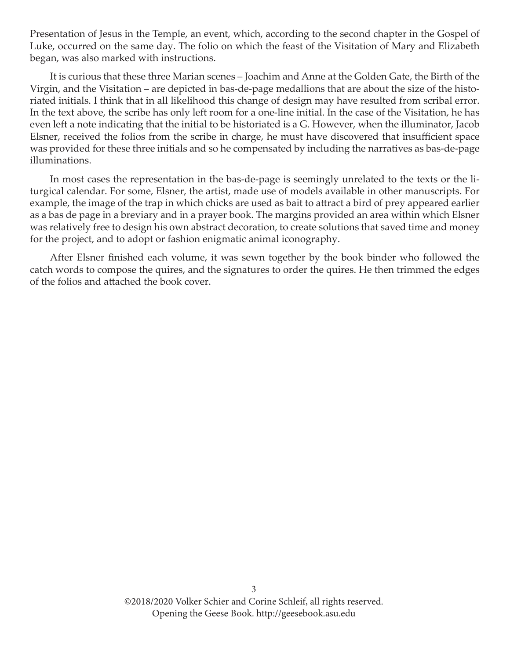Presentation of Jesus in the Temple, an event, which, according to the second chapter in the Gospel of Luke, occurred on the same day. The folio on which the feast of the Visitation of Mary and Elizabeth began, was also marked with instructions.

It is curious that these three Marian scenes – Joachim and Anne at the Golden Gate, the Birth of the Virgin, and the Visitation – are depicted in bas-de-page medallions that are about the size of the historiated initials. I think that in all likelihood this change of design may have resulted from scribal error. In the text above, the scribe has only left room for a one-line initial. In the case of the Visitation, he has even left a note indicating that the initial to be historiated is a G. However, when the illuminator, Jacob Elsner, received the folios from the scribe in charge, he must have discovered that insufficient space was provided for these three initials and so he compensated by including the narratives as bas-de-page illuminations.

In most cases the representation in the bas-de-page is seemingly unrelated to the texts or the liturgical calendar. For some, Elsner, the artist, made use of models available in other manuscripts. For example, the image of the trap in which chicks are used as bait to attract a bird of prey appeared earlier as a bas de page in a breviary and in a prayer book. The margins provided an area within which Elsner was relatively free to design his own abstract decoration, to create solutions that saved time and money for the project, and to adopt or fashion enigmatic animal iconography.

After Elsner finished each volume, it was sewn together by the book binder who followed the catch words to compose the quires, and the signatures to order the quires. He then trimmed the edges of the folios and attached the book cover.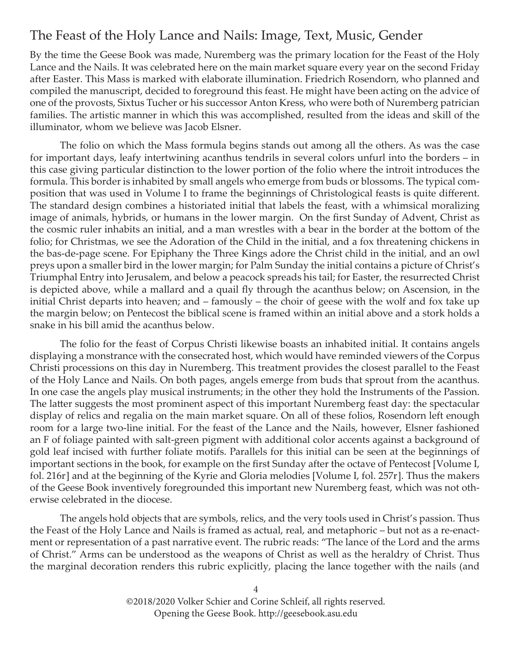## The Feast of the Holy Lance and Nails: Image, Text, Music, Gender

By the time the Geese Book was made, Nuremberg was the primary location for the Feast of the Holy Lance and the Nails. It was celebrated here on the main market square every year on the second Friday after Easter. This Mass is marked with elaborate illumination. Friedrich Rosendorn, who planned and compiled the manuscript, decided to foreground this feast. He might have been acting on the advice of one of the provosts, Sixtus Tucher or his successor Anton Kress, who were both of Nuremberg patrician families. The artistic manner in which this was accomplished, resulted from the ideas and skill of the illuminator, whom we believe was Jacob Elsner.

The folio on which the Mass formula begins stands out among all the others. As was the case for important days, leafy intertwining acanthus tendrils in several colors unfurl into the borders – in this case giving particular distinction to the lower portion of the folio where the introit introduces the formula. This border is inhabited by small angels who emerge from buds or blossoms. The typical composition that was used in Volume I to frame the beginnings of Christological feasts is quite different. The standard design combines a historiated initial that labels the feast, with a whimsical moralizing image of animals, hybrids, or humans in the lower margin. On the first Sunday of Advent, Christ as the cosmic ruler inhabits an initial, and a man wrestles with a bear in the border at the bottom of the folio; for Christmas, we see the Adoration of the Child in the initial, and a fox threatening chickens in the bas-de-page scene. For Epiphany the Three Kings adore the Christ child in the initial, and an owl preys upon a smaller bird in the lower margin; for Palm Sunday the initial contains a picture of Christ's Triumphal Entry into Jerusalem, and below a peacock spreads his tail; for Easter, the resurrected Christ is depicted above, while a mallard and a quail fly through the acanthus below; on Ascension, in the initial Christ departs into heaven; and – famously – the choir of geese with the wolf and fox take up the margin below; on Pentecost the biblical scene is framed within an initial above and a stork holds a snake in his bill amid the acanthus below.

The folio for the feast of Corpus Christi likewise boasts an inhabited initial. It contains angels displaying a monstrance with the consecrated host, which would have reminded viewers of the Corpus Christi processions on this day in Nuremberg. This treatment provides the closest parallel to the Feast of the Holy Lance and Nails. On both pages, angels emerge from buds that sprout from the acanthus. In one case the angels play musical instruments; in the other they hold the Instruments of the Passion. The latter suggests the most prominent aspect of this important Nuremberg feast day: the spectacular display of relics and regalia on the main market square. On all of these folios, Rosendorn left enough room for a large two-line initial. For the feast of the Lance and the Nails, however, Elsner fashioned an F of foliage painted with salt-green pigment with additional color accents against a background of gold leaf incised with further foliate motifs. Parallels for this initial can be seen at the beginnings of important sections in the book, for example on the first Sunday after the octave of Pentecost [Volume I, fol. 216r] and at the beginning of the Kyrie and Gloria melodies [Volume I, fol. 257r]. Thus the makers of the Geese Book inventively foregrounded this important new Nuremberg feast, which was not otherwise celebrated in the diocese.

The angels hold objects that are symbols, relics, and the very tools used in Christ's passion. Thus the Feast of the Holy Lance and Nails is framed as actual, real, and metaphoric – but not as a re-enactment or representation of a past narrative event. The rubric reads: "The lance of the Lord and the arms of Christ." Arms can be understood as the weapons of Christ as well as the heraldry of Christ. Thus the marginal decoration renders this rubric explicitly, placing the lance together with the nails (and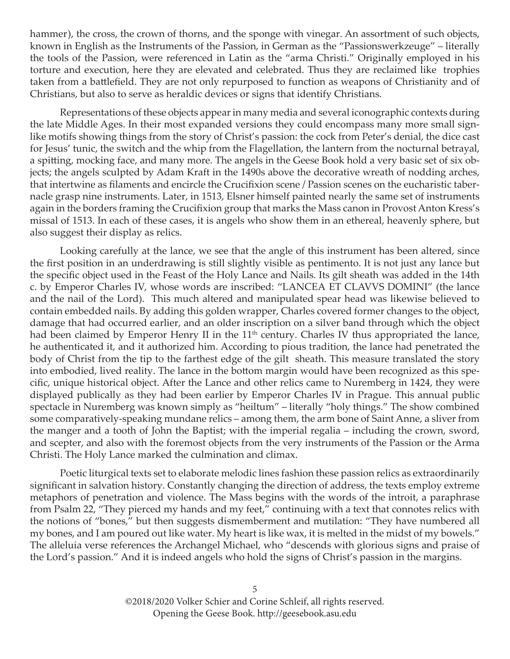hammer), the cross, the crown of thorns, and the sponge with vinegar. An assortment of such objects, known in English as the Instruments of the Passion, in German as the "Passionswerkzeuge" – literally the tools of the Passion, were referenced in Latin as the "arma Christi." Originally employed in his torture and execution, here they are elevated and celebrated. Thus they are reclaimed like trophies taken from a battlefield. They are not only repurposed to function as weapons of Christianity and of Christians, but also to serve as heraldic devices or signs that identify Christians.

Representations of these objects appear in many media and several iconographic contexts during the late Middle Ages. In their most expanded versions they could encompass many more small signlike motifs showing things from the story of Christ's passion: the cock from Peter's denial, the dice cast for Jesus' tunic, the switch and the whip from the Flagellation, the lantern from the nocturnal betrayal, a spitting, mocking face, and many more. The angels in the Geese Book hold a very basic set of six objects; the angels sculpted by Adam Kraft in the 1490s above the decorative wreath of nodding arches, that intertwine as filaments and encircle the Crucifixion scene / Passion scenes on the eucharistic tabernacle grasp nine instruments. Later, in 1513, Elsner himself painted nearly the same set of instruments again in the borders framing the Crucifixion group that marks the Mass canon in Provost Anton Kress's missal of 1513. In each of these cases, it is angels who show them in an ethereal, heavenly sphere, but also suggest their display as relics.

Looking carefully at the lance, we see that the angle of this instrument has been altered, since the first position in an underdrawing is still slightly visible as pentimento. It is not just any lance but the specific object used in the Feast of the Holy Lance and Nails. Its gilt sheath was added in the 14th c. by Emperor Charles IV, whose words are inscribed: "LANCEA ET CLAVVS DOMINI" (the lance and the nail of the Lord). This much altered and manipulated spear head was likewise believed to contain embedded nails. By adding this golden wrapper, Charles covered former changes to the object, damage that had occurred earlier, and an older inscription on a silver band through which the object had been claimed by Emperor Henry II in the  $11<sup>th</sup>$  century. Charles IV thus appropriated the lance, he authenticated it, and it authorized him. According to pious tradition, the lance had penetrated the body of Christ from the tip to the farthest edge of the gilt sheath. This measure translated the story into embodied, lived reality. The lance in the bottom margin would have been recognized as this specific, unique historical object. After the Lance and other relics came to Nuremberg in 1424, they were displayed publically as they had been earlier by Emperor Charles IV in Prague. This annual public spectacle in Nuremberg was known simply as "heiltum" – literally "holy things." The show combined some comparatively-speaking mundane relics – among them, the arm bone of Saint Anne, a sliver from the manger and a tooth of John the Baptist; with the imperial regalia – including the crown, sword, and scepter, and also with the foremost objects from the very instruments of the Passion or the Arma Christi. The Holy Lance marked the culmination and climax.

Poetic liturgical texts set to elaborate melodic lines fashion these passion relics as extraordinarily significant in salvation history. Constantly changing the direction of address, the texts employ extreme metaphors of penetration and violence. The Mass begins with the words of the introit, a paraphrase from Psalm 22, "They pierced my hands and my feet," continuing with a text that connotes relics with the notions of "bones," but then suggests dismemberment and mutilation: "They have numbered all my bones, and I am poured out like water. My heart is like wax, it is melted in the midst of my bowels." The alleluia verse references the Archangel Michael, who "descends with glorious signs and praise of the Lord's passion." And it is indeed angels who hold the signs of Christ's passion in the margins.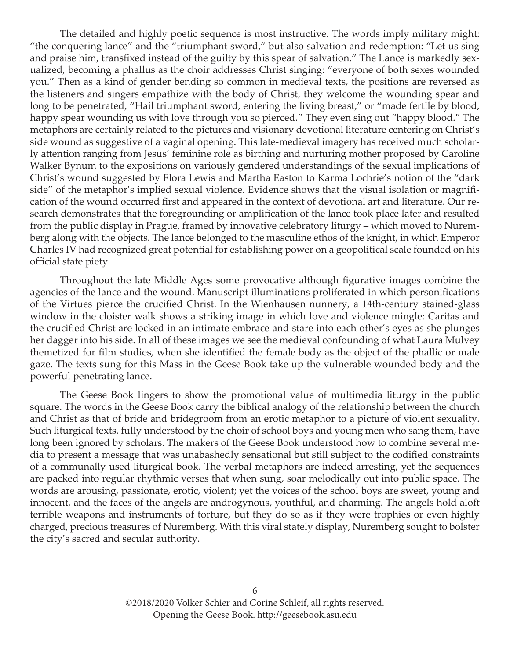The detailed and highly poetic sequence is most instructive. The words imply military might: "the conquering lance" and the "triumphant sword," but also salvation and redemption: "Let us sing and praise him, transfixed instead of the guilty by this spear of salvation." The Lance is markedly sexualized, becoming a phallus as the choir addresses Christ singing: "everyone of both sexes wounded you." Then as a kind of gender bending so common in medieval texts, the positions are reversed as the listeners and singers empathize with the body of Christ, they welcome the wounding spear and long to be penetrated, "Hail triumphant sword, entering the living breast," or "made fertile by blood, happy spear wounding us with love through you so pierced." They even sing out "happy blood." The metaphors are certainly related to the pictures and visionary devotional literature centering on Christ's side wound as suggestive of a vaginal opening. This late-medieval imagery has received much scholarly attention ranging from Jesus' feminine role as birthing and nurturing mother proposed by Caroline Walker Bynum to the expositions on variously gendered understandings of the sexual implications of Christ's wound suggested by Flora Lewis and Martha Easton to Karma Lochrie's notion of the "dark side" of the metaphor's implied sexual violence. Evidence shows that the visual isolation or magnification of the wound occurred first and appeared in the context of devotional art and literature. Our research demonstrates that the foregrounding or amplification of the lance took place later and resulted from the public display in Prague, framed by innovative celebratory liturgy – which moved to Nuremberg along with the objects. The lance belonged to the masculine ethos of the knight, in which Emperor Charles IV had recognized great potential for establishing power on a geopolitical scale founded on his official state piety.

Throughout the late Middle Ages some provocative although figurative images combine the agencies of the lance and the wound. Manuscript illuminations proliferated in which personifications of the Virtues pierce the crucified Christ. In the Wienhausen nunnery, a 14th-century stained-glass window in the cloister walk shows a striking image in which love and violence mingle: Caritas and the crucified Christ are locked in an intimate embrace and stare into each other's eyes as she plunges her dagger into his side. In all of these images we see the medieval confounding of what Laura Mulvey themetized for film studies, when she identified the female body as the object of the phallic or male gaze. The texts sung for this Mass in the Geese Book take up the vulnerable wounded body and the powerful penetrating lance.

The Geese Book lingers to show the promotional value of multimedia liturgy in the public square. The words in the Geese Book carry the biblical analogy of the relationship between the church and Christ as that of bride and bridegroom from an erotic metaphor to a picture of violent sexuality. Such liturgical texts, fully understood by the choir of school boys and young men who sang them, have long been ignored by scholars. The makers of the Geese Book understood how to combine several media to present a message that was unabashedly sensational but still subject to the codified constraints of a communally used liturgical book. The verbal metaphors are indeed arresting, yet the sequences are packed into regular rhythmic verses that when sung, soar melodically out into public space. The words are arousing, passionate, erotic, violent; yet the voices of the school boys are sweet, young and innocent, and the faces of the angels are androgynous, youthful, and charming. The angels hold aloft terrible weapons and instruments of torture, but they do so as if they were trophies or even highly charged, precious treasures of Nuremberg. With this viral stately display, Nuremberg sought to bolster the city's sacred and secular authority.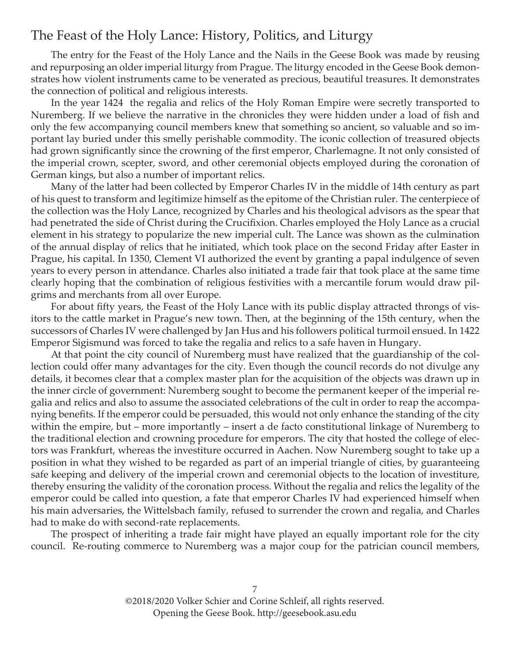### The Feast of the Holy Lance: History, Politics, and Liturgy

The entry for the Feast of the Holy Lance and the Nails in the Geese Book was made by reusing and repurposing an older imperial liturgy from Prague. The liturgy encoded in the Geese Book demonstrates how violent instruments came to be venerated as precious, beautiful treasures. It demonstrates the connection of political and religious interests.

In the year 1424 the regalia and relics of the Holy Roman Empire were secretly transported to Nuremberg. If we believe the narrative in the chronicles they were hidden under a load of fish and only the few accompanying council members knew that something so ancient, so valuable and so important lay buried under this smelly perishable commodity. The iconic collection of treasured objects had grown significantly since the crowning of the first emperor, Charlemagne. It not only consisted of the imperial crown, scepter, sword, and other ceremonial objects employed during the coronation of German kings, but also a number of important relics.

Many of the latter had been collected by Emperor Charles IV in the middle of 14th century as part of his quest to transform and legitimize himself as the epitome of the Christian ruler. The centerpiece of the collection was the Holy Lance, recognized by Charles and his theological advisors as the spear that had penetrated the side of Christ during the Crucifixion. Charles employed the Holy Lance as a crucial element in his strategy to popularize the new imperial cult. The Lance was shown as the culmination of the annual display of relics that he initiated, which took place on the second Friday after Easter in Prague, his capital. In 1350, Clement VI authorized the event by granting a papal indulgence of seven years to every person in attendance. Charles also initiated a trade fair that took place at the same time clearly hoping that the combination of religious festivities with a mercantile forum would draw pilgrims and merchants from all over Europe.

For about fifty years, the Feast of the Holy Lance with its public display attracted throngs of visitors to the cattle market in Prague's new town. Then, at the beginning of the 15th century, when the successors of Charles IV were challenged by Jan Hus and his followers political turmoil ensued. In 1422 Emperor Sigismund was forced to take the regalia and relics to a safe haven in Hungary.

At that point the city council of Nuremberg must have realized that the guardianship of the collection could offer many advantages for the city. Even though the council records do not divulge any details, it becomes clear that a complex master plan for the acquisition of the objects was drawn up in the inner circle of government: Nuremberg sought to become the permanent keeper of the imperial regalia and relics and also to assume the associated celebrations of the cult in order to reap the accompanying benefits. If the emperor could be persuaded, this would not only enhance the standing of the city within the empire, but – more importantly – insert a de facto constitutional linkage of Nuremberg to the traditional election and crowning procedure for emperors. The city that hosted the college of electors was Frankfurt, whereas the investiture occurred in Aachen. Now Nuremberg sought to take up a position in what they wished to be regarded as part of an imperial triangle of cities, by guaranteeing safe keeping and delivery of the imperial crown and ceremonial objects to the location of investiture, thereby ensuring the validity of the coronation process. Without the regalia and relics the legality of the emperor could be called into question, a fate that emperor Charles IV had experienced himself when his main adversaries, the Wittelsbach family, refused to surrender the crown and regalia, and Charles had to make do with second-rate replacements.

The prospect of inheriting a trade fair might have played an equally important role for the city council. Re-routing commerce to Nuremberg was a major coup for the patrician council members,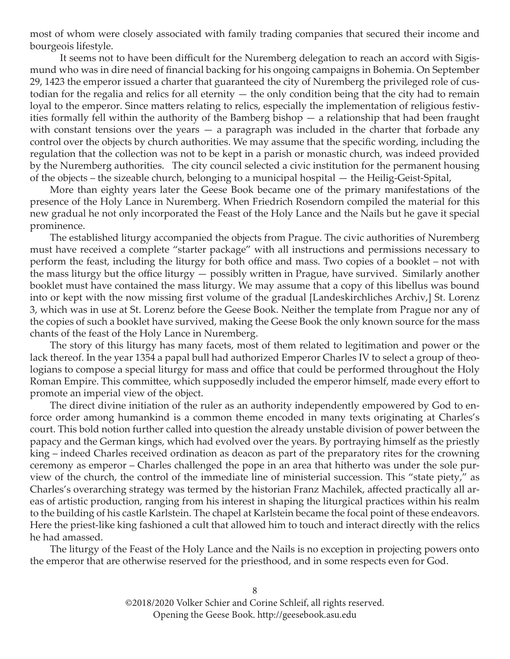most of whom were closely associated with family trading companies that secured their income and bourgeois lifestyle.

It seems not to have been difficult for the Nuremberg delegation to reach an accord with Sigismund who was in dire need of financial backing for his ongoing campaigns in Bohemia. On September 29, 1423 the emperor issued a charter that guaranteed the city of Nuremberg the privileged role of custodian for the regalia and relics for all eternity — the only condition being that the city had to remain loyal to the emperor. Since matters relating to relics, especially the implementation of religious festivities formally fell within the authority of the Bamberg bishop — a relationship that had been fraught with constant tensions over the years  $-$  a paragraph was included in the charter that forbade any control over the objects by church authorities. We may assume that the specific wording, including the regulation that the collection was not to be kept in a parish or monastic church, was indeed provided by the Nuremberg authorities. The city council selected a civic institution for the permanent housing of the objects – the sizeable church, belonging to a municipal hospital — the Heilig-Geist-Spital,

More than eighty years later the Geese Book became one of the primary manifestations of the presence of the Holy Lance in Nuremberg. When Friedrich Rosendorn compiled the material for this new gradual he not only incorporated the Feast of the Holy Lance and the Nails but he gave it special prominence.

The established liturgy accompanied the objects from Prague. The civic authorities of Nuremberg must have received a complete "starter package" with all instructions and permissions necessary to perform the feast, including the liturgy for both office and mass. Two copies of a booklet – not with the mass liturgy but the office liturgy — possibly written in Prague, have survived. Similarly another booklet must have contained the mass liturgy. We may assume that a copy of this libellus was bound into or kept with the now missing first volume of the gradual [Landeskirchliches Archiv,] St. Lorenz 3, which was in use at St. Lorenz before the Geese Book. Neither the template from Prague nor any of the copies of such a booklet have survived, making the Geese Book the only known source for the mass chants of the feast of the Holy Lance in Nuremberg.

The story of this liturgy has many facets, most of them related to legitimation and power or the lack thereof. In the year 1354 a papal bull had authorized Emperor Charles IV to select a group of theologians to compose a special liturgy for mass and office that could be performed throughout the Holy Roman Empire. This committee, which supposedly included the emperor himself, made every effort to promote an imperial view of the object.

The direct divine initiation of the ruler as an authority independently empowered by God to enforce order among humankind is a common theme encoded in many texts originating at Charles's court. This bold notion further called into question the already unstable division of power between the papacy and the German kings, which had evolved over the years. By portraying himself as the priestly king – indeed Charles received ordination as deacon as part of the preparatory rites for the crowning ceremony as emperor – Charles challenged the pope in an area that hitherto was under the sole purview of the church, the control of the immediate line of ministerial succession. This "state piety," as Charles's overarching strategy was termed by the historian Franz Machilek, affected practically all areas of artistic production, ranging from his interest in shaping the liturgical practices within his realm to the building of his castle Karlstein. The chapel at Karlstein became the focal point of these endeavors. Here the priest-like king fashioned a cult that allowed him to touch and interact directly with the relics he had amassed.

The liturgy of the Feast of the Holy Lance and the Nails is no exception in projecting powers onto the emperor that are otherwise reserved for the priesthood, and in some respects even for God.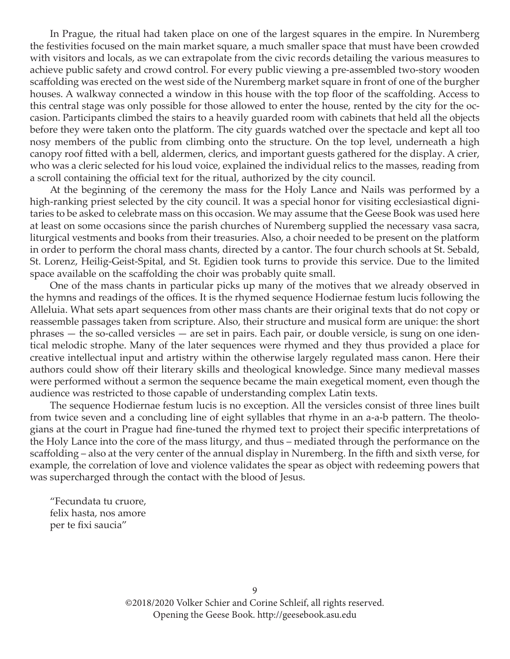In Prague, the ritual had taken place on one of the largest squares in the empire. In Nuremberg the festivities focused on the main market square, a much smaller space that must have been crowded with visitors and locals, as we can extrapolate from the civic records detailing the various measures to achieve public safety and crowd control. For every public viewing a pre-assembled two-story wooden scaffolding was erected on the west side of the Nuremberg market square in front of one of the burgher houses. A walkway connected a window in this house with the top floor of the scaffolding. Access to this central stage was only possible for those allowed to enter the house, rented by the city for the occasion. Participants climbed the stairs to a heavily guarded room with cabinets that held all the objects before they were taken onto the platform. The city guards watched over the spectacle and kept all too nosy members of the public from climbing onto the structure. On the top level, underneath a high canopy roof fitted with a bell, aldermen, clerics, and important guests gathered for the display. A crier, who was a cleric selected for his loud voice, explained the individual relics to the masses, reading from a scroll containing the official text for the ritual, authorized by the city council.

At the beginning of the ceremony the mass for the Holy Lance and Nails was performed by a high-ranking priest selected by the city council. It was a special honor for visiting ecclesiastical dignitaries to be asked to celebrate mass on this occasion. We may assume that the Geese Book was used here at least on some occasions since the parish churches of Nuremberg supplied the necessary vasa sacra, liturgical vestments and books from their treasuries. Also, a choir needed to be present on the platform in order to perform the choral mass chants, directed by a cantor. The four church schools at St. Sebald, St. Lorenz, Heilig-Geist-Spital, and St. Egidien took turns to provide this service. Due to the limited space available on the scaffolding the choir was probably quite small.

One of the mass chants in particular picks up many of the motives that we already observed in the hymns and readings of the offices. It is the rhymed sequence Hodiernae festum lucis following the Alleluia. What sets apart sequences from other mass chants are their original texts that do not copy or reassemble passages taken from scripture. Also, their structure and musical form are unique: the short phrases — the so-called versicles — are set in pairs. Each pair, or double versicle, is sung on one identical melodic strophe. Many of the later sequences were rhymed and they thus provided a place for creative intellectual input and artistry within the otherwise largely regulated mass canon. Here their authors could show off their literary skills and theological knowledge. Since many medieval masses were performed without a sermon the sequence became the main exegetical moment, even though the audience was restricted to those capable of understanding complex Latin texts.

The sequence Hodiernae festum lucis is no exception. All the versicles consist of three lines built from twice seven and a concluding line of eight syllables that rhyme in an a-a-b pattern. The theologians at the court in Prague had fine-tuned the rhymed text to project their specific interpretations of the Holy Lance into the core of the mass liturgy, and thus – mediated through the performance on the scaffolding – also at the very center of the annual display in Nuremberg. In the fifth and sixth verse, for example, the correlation of love and violence validates the spear as object with redeeming powers that was supercharged through the contact with the blood of Jesus.

"Fecundata tu cruore, felix hasta, nos amore per te fixi saucia"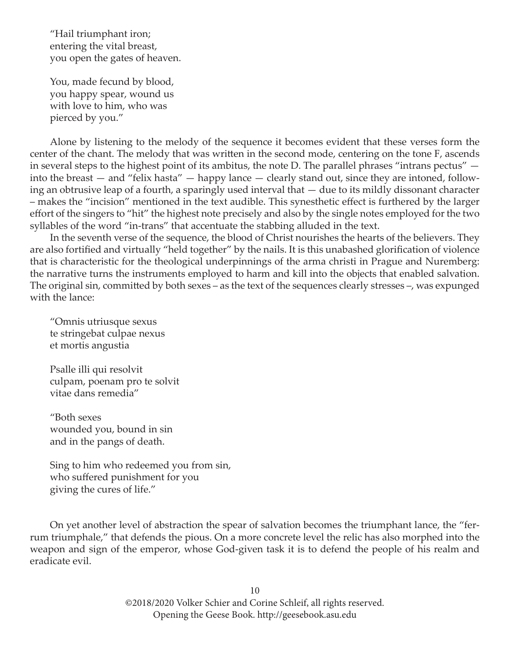"Hail triumphant iron; entering the vital breast, you open the gates of heaven.

You, made fecund by blood, you happy spear, wound us with love to him, who was pierced by you."

Alone by listening to the melody of the sequence it becomes evident that these verses form the center of the chant. The melody that was written in the second mode, centering on the tone F, ascends in several steps to the highest point of its ambitus, the note D. The parallel phrases "intrans pectus" into the breast — and "felix hasta" — happy lance — clearly stand out, since they are intoned, following an obtrusive leap of a fourth, a sparingly used interval that — due to its mildly dissonant character – makes the "incision" mentioned in the text audible. This synesthetic effect is furthered by the larger effort of the singers to "hit" the highest note precisely and also by the single notes employed for the two syllables of the word "in-trans" that accentuate the stabbing alluded in the text.

In the seventh verse of the sequence, the blood of Christ nourishes the hearts of the believers. They are also fortified and virtually "held together" by the nails. It is this unabashed glorification of violence that is characteristic for the theological underpinnings of the arma christi in Prague and Nuremberg: the narrative turns the instruments employed to harm and kill into the objects that enabled salvation. The original sin, committed by both sexes – as the text of the sequences clearly stresses –, was expunged with the lance:

"Omnis utriusque sexus te stringebat culpae nexus et mortis angustia

Psalle illi qui resolvit culpam, poenam pro te solvit vitae dans remedia"

"Both sexes wounded you, bound in sin and in the pangs of death.

Sing to him who redeemed you from sin, who suffered punishment for you giving the cures of life."

On yet another level of abstraction the spear of salvation becomes the triumphant lance, the "ferrum triumphale," that defends the pious. On a more concrete level the relic has also morphed into the weapon and sign of the emperor, whose God-given task it is to defend the people of his realm and eradicate evil.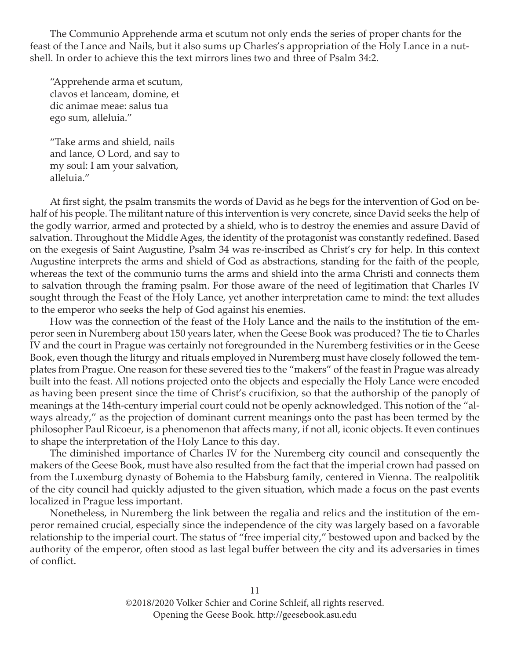The Communio Apprehende arma et scutum not only ends the series of proper chants for the feast of the Lance and Nails, but it also sums up Charles's appropriation of the Holy Lance in a nutshell. In order to achieve this the text mirrors lines two and three of Psalm 34:2.

"Apprehende arma et scutum, clavos et lanceam, domine, et dic animae meae: salus tua ego sum, alleluia."

"Take arms and shield, nails and lance, O Lord, and say to my soul: I am your salvation, alleluia."

At first sight, the psalm transmits the words of David as he begs for the intervention of God on behalf of his people. The militant nature of this intervention is very concrete, since David seeks the help of the godly warrior, armed and protected by a shield, who is to destroy the enemies and assure David of salvation. Throughout the Middle Ages, the identity of the protagonist was constantly redefined. Based on the exegesis of Saint Augustine, Psalm 34 was re-inscribed as Christ's cry for help. In this context Augustine interprets the arms and shield of God as abstractions, standing for the faith of the people, whereas the text of the communio turns the arms and shield into the arma Christi and connects them to salvation through the framing psalm. For those aware of the need of legitimation that Charles IV sought through the Feast of the Holy Lance, yet another interpretation came to mind: the text alludes to the emperor who seeks the help of God against his enemies.

How was the connection of the feast of the Holy Lance and the nails to the institution of the emperor seen in Nuremberg about 150 years later, when the Geese Book was produced? The tie to Charles IV and the court in Prague was certainly not foregrounded in the Nuremberg festivities or in the Geese Book, even though the liturgy and rituals employed in Nuremberg must have closely followed the templates from Prague. One reason for these severed ties to the "makers" of the feast in Prague was already built into the feast. All notions projected onto the objects and especially the Holy Lance were encoded as having been present since the time of Christ's crucifixion, so that the authorship of the panoply of meanings at the 14th-century imperial court could not be openly acknowledged. This notion of the "always already," as the projection of dominant current meanings onto the past has been termed by the philosopher Paul Ricoeur, is a phenomenon that affects many, if not all, iconic objects. It even continues to shape the interpretation of the Holy Lance to this day.

The diminished importance of Charles IV for the Nuremberg city council and consequently the makers of the Geese Book, must have also resulted from the fact that the imperial crown had passed on from the Luxemburg dynasty of Bohemia to the Habsburg family, centered in Vienna. The realpolitik of the city council had quickly adjusted to the given situation, which made a focus on the past events localized in Prague less important.

Nonetheless, in Nuremberg the link between the regalia and relics and the institution of the emperor remained crucial, especially since the independence of the city was largely based on a favorable relationship to the imperial court. The status of "free imperial city," bestowed upon and backed by the authority of the emperor, often stood as last legal buffer between the city and its adversaries in times of conflict.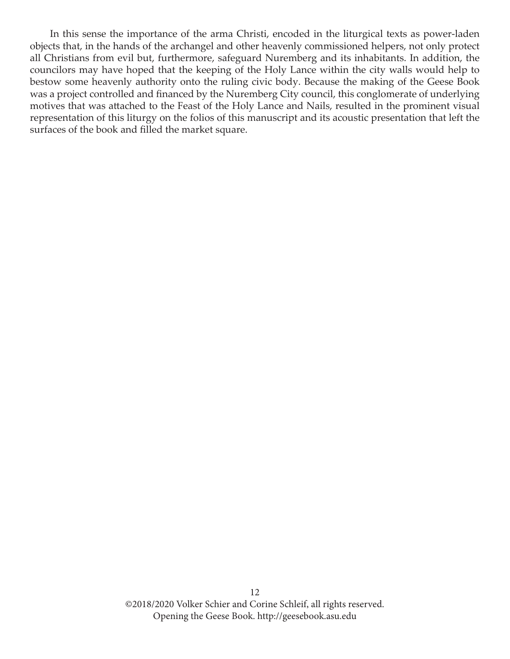In this sense the importance of the arma Christi, encoded in the liturgical texts as power-laden objects that, in the hands of the archangel and other heavenly commissioned helpers, not only protect all Christians from evil but, furthermore, safeguard Nuremberg and its inhabitants. In addition, the councilors may have hoped that the keeping of the Holy Lance within the city walls would help to bestow some heavenly authority onto the ruling civic body. Because the making of the Geese Book was a project controlled and financed by the Nuremberg City council, this conglomerate of underlying motives that was attached to the Feast of the Holy Lance and Nails, resulted in the prominent visual representation of this liturgy on the folios of this manuscript and its acoustic presentation that left the surfaces of the book and filled the market square.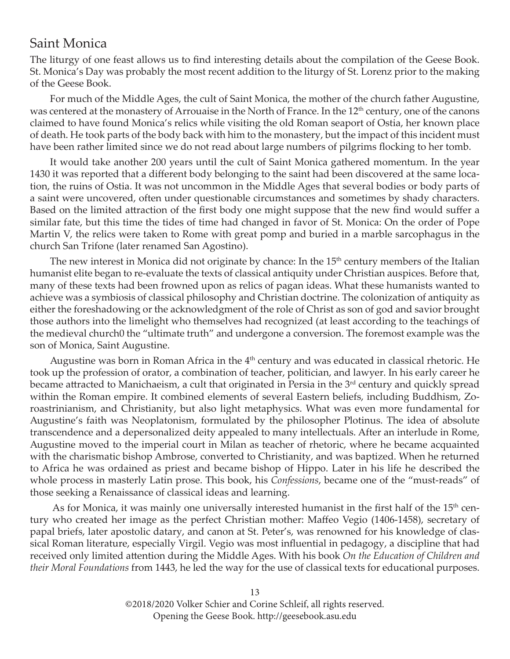### Saint Monica

The liturgy of one feast allows us to find interesting details about the compilation of the Geese Book. St. Monica's Day was probably the most recent addition to the liturgy of St. Lorenz prior to the making of the Geese Book.

For much of the Middle Ages, the cult of Saint Monica, the mother of the church father Augustine, was centered at the monastery of Arrouaise in the North of France. In the 12<sup>th</sup> century, one of the canons claimed to have found Monica's relics while visiting the old Roman seaport of Ostia, her known place of death. He took parts of the body back with him to the monastery, but the impact of this incident must have been rather limited since we do not read about large numbers of pilgrims flocking to her tomb.

It would take another 200 years until the cult of Saint Monica gathered momentum. In the year 1430 it was reported that a different body belonging to the saint had been discovered at the same location, the ruins of Ostia. It was not uncommon in the Middle Ages that several bodies or body parts of a saint were uncovered, often under questionable circumstances and sometimes by shady characters. Based on the limited attraction of the first body one might suppose that the new find would suffer a similar fate, but this time the tides of time had changed in favor of St. Monica: On the order of Pope Martin V, the relics were taken to Rome with great pomp and buried in a marble sarcophagus in the church San Trifone (later renamed San Agostino).

The new interest in Monica did not originate by chance: In the  $15<sup>th</sup>$  century members of the Italian humanist elite began to re-evaluate the texts of classical antiquity under Christian auspices. Before that, many of these texts had been frowned upon as relics of pagan ideas. What these humanists wanted to achieve was a symbiosis of classical philosophy and Christian doctrine. The colonization of antiquity as either the foreshadowing or the acknowledgment of the role of Christ as son of god and savior brought those authors into the limelight who themselves had recognized (at least according to the teachings of the medieval church0 the "ultimate truth" and undergone a conversion. The foremost example was the son of Monica, Saint Augustine.

Augustine was born in Roman Africa in the  $4<sup>th</sup>$  century and was educated in classical rhetoric. He took up the profession of orator, a combination of teacher, politician, and lawyer. In his early career he became attracted to Manichaeism, a cult that originated in Persia in the 3<sup>rd</sup> century and quickly spread within the Roman empire. It combined elements of several Eastern beliefs, including Buddhism, Zoroastrinianism, and Christianity, but also light metaphysics. What was even more fundamental for Augustine's faith was Neoplatonism, formulated by the philosopher Plotinus. The idea of absolute transcendence and a depersonalized deity appealed to many intellectuals. After an interlude in Rome, Augustine moved to the imperial court in Milan as teacher of rhetoric, where he became acquainted with the charismatic bishop Ambrose, converted to Christianity, and was baptized. When he returned to Africa he was ordained as priest and became bishop of Hippo. Later in his life he described the whole process in masterly Latin prose. This book, his *Confessions*, became one of the "must-reads" of those seeking a Renaissance of classical ideas and learning.

As for Monica, it was mainly one universally interested humanist in the first half of the 15<sup>th</sup> century who created her image as the perfect Christian mother: Maffeo Vegio (1406-1458), secretary of papal briefs, later apostolic datary, and canon at St. Peter's, was renowned for his knowledge of classical Roman literature, especially Virgil. Vegio was most influential in pedagogy, a discipline that had received only limited attention during the Middle Ages. With his book *On the Education of Children and their Moral Foundations* from 1443, he led the way for the use of classical texts for educational purposes.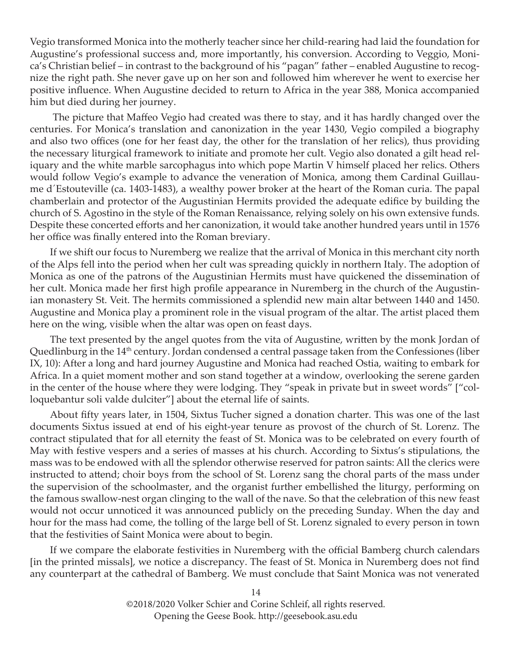Vegio transformed Monica into the motherly teacher since her child-rearing had laid the foundation for Augustine's professional success and, more importantly, his conversion. According to Veggio, Monica's Christian belief – in contrast to the background of his "pagan" father – enabled Augustine to recognize the right path. She never gave up on her son and followed him wherever he went to exercise her positive influence. When Augustine decided to return to Africa in the year 388, Monica accompanied him but died during her journey.

 The picture that Maffeo Vegio had created was there to stay, and it has hardly changed over the centuries. For Monica's translation and canonization in the year 1430, Vegio compiled a biography and also two offices (one for her feast day, the other for the translation of her relics), thus providing the necessary liturgical framework to initiate and promote her cult. Vegio also donated a gilt head reliquary and the white marble sarcophagus into which pope Martin V himself placed her relics. Others would follow Vegio's example to advance the veneration of Monica, among them Cardinal Guillaume d´Estouteville (ca. 1403-1483), a wealthy power broker at the heart of the Roman curia. The papal chamberlain and protector of the Augustinian Hermits provided the adequate edifice by building the church of S. Agostino in the style of the Roman Renaissance, relying solely on his own extensive funds. Despite these concerted efforts and her canonization, it would take another hundred years until in 1576 her office was finally entered into the Roman breviary.

If we shift our focus to Nuremberg we realize that the arrival of Monica in this merchant city north of the Alps fell into the period when her cult was spreading quickly in northern Italy. The adoption of Monica as one of the patrons of the Augustinian Hermits must have quickened the dissemination of her cult. Monica made her first high profile appearance in Nuremberg in the church of the Augustinian monastery St. Veit. The hermits commissioned a splendid new main altar between 1440 and 1450. Augustine and Monica play a prominent role in the visual program of the altar. The artist placed them here on the wing, visible when the altar was open on feast days.

The text presented by the angel quotes from the vita of Augustine, written by the monk Jordan of Quedlinburg in the 14<sup>th</sup> century. Jordan condensed a central passage taken from the Confessiones (liber IX, 10): After a long and hard journey Augustine and Monica had reached Ostia, waiting to embark for Africa. In a quiet moment mother and son stand together at a window, overlooking the serene garden in the center of the house where they were lodging. They "speak in private but in sweet words" ["colloquebantur soli valde dulciter"] about the eternal life of saints.

About fifty years later, in 1504, Sixtus Tucher signed a donation charter. This was one of the last documents Sixtus issued at end of his eight-year tenure as provost of the church of St. Lorenz. The contract stipulated that for all eternity the feast of St. Monica was to be celebrated on every fourth of May with festive vespers and a series of masses at his church. According to Sixtus's stipulations, the mass was to be endowed with all the splendor otherwise reserved for patron saints: All the clerics were instructed to attend; choir boys from the school of St. Lorenz sang the choral parts of the mass under the supervision of the schoolmaster, and the organist further embellished the liturgy, performing on the famous swallow-nest organ clinging to the wall of the nave. So that the celebration of this new feast would not occur unnoticed it was announced publicly on the preceding Sunday. When the day and hour for the mass had come, the tolling of the large bell of St. Lorenz signaled to every person in town that the festivities of Saint Monica were about to begin.

If we compare the elaborate festivities in Nuremberg with the official Bamberg church calendars [in the printed missals], we notice a discrepancy. The feast of St. Monica in Nuremberg does not find any counterpart at the cathedral of Bamberg. We must conclude that Saint Monica was not venerated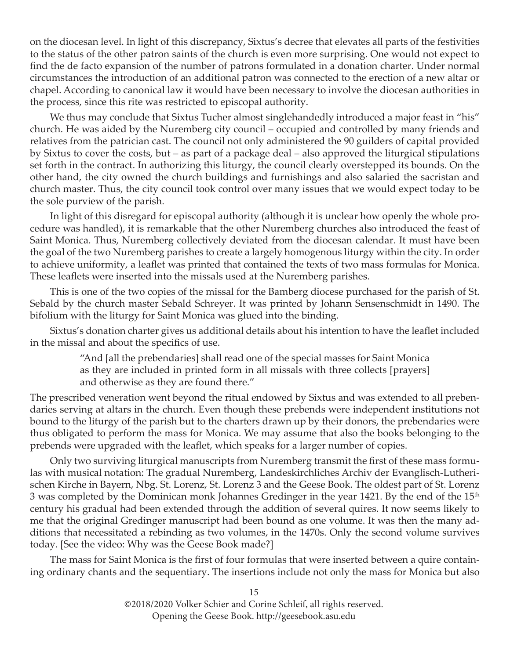on the diocesan level. In light of this discrepancy, Sixtus's decree that elevates all parts of the festivities to the status of the other patron saints of the church is even more surprising. One would not expect to find the de facto expansion of the number of patrons formulated in a donation charter. Under normal circumstances the introduction of an additional patron was connected to the erection of a new altar or chapel. According to canonical law it would have been necessary to involve the diocesan authorities in the process, since this rite was restricted to episcopal authority.

We thus may conclude that Sixtus Tucher almost singlehandedly introduced a major feast in "his" church. He was aided by the Nuremberg city council – occupied and controlled by many friends and relatives from the patrician cast. The council not only administered the 90 guilders of capital provided by Sixtus to cover the costs, but – as part of a package deal – also approved the liturgical stipulations set forth in the contract. In authorizing this liturgy, the council clearly overstepped its bounds. On the other hand, the city owned the church buildings and furnishings and also salaried the sacristan and church master. Thus, the city council took control over many issues that we would expect today to be the sole purview of the parish.

In light of this disregard for episcopal authority (although it is unclear how openly the whole procedure was handled), it is remarkable that the other Nuremberg churches also introduced the feast of Saint Monica. Thus, Nuremberg collectively deviated from the diocesan calendar. It must have been the goal of the two Nuremberg parishes to create a largely homogenous liturgy within the city. In order to achieve uniformity, a leaflet was printed that contained the texts of two mass formulas for Monica. These leaflets were inserted into the missals used at the Nuremberg parishes.

This is one of the two copies of the missal for the Bamberg diocese purchased for the parish of St. Sebald by the church master Sebald Schreyer. It was printed by Johann Sensenschmidt in 1490. The bifolium with the liturgy for Saint Monica was glued into the binding.

Sixtus's donation charter gives us additional details about his intention to have the leaflet included in the missal and about the specifics of use.

> "And [all the prebendaries] shall read one of the special masses for Saint Monica as they are included in printed form in all missals with three collects [prayers] and otherwise as they are found there."

The prescribed veneration went beyond the ritual endowed by Sixtus and was extended to all prebendaries serving at altars in the church. Even though these prebends were independent institutions not bound to the liturgy of the parish but to the charters drawn up by their donors, the prebendaries were thus obligated to perform the mass for Monica. We may assume that also the books belonging to the prebends were upgraded with the leaflet, which speaks for a larger number of copies.

Only two surviving liturgical manuscripts from Nuremberg transmit the first of these mass formulas with musical notation: The gradual Nuremberg, Landeskirchliches Archiv der Evanglisch-Lutherischen Kirche in Bayern, Nbg. St. Lorenz, St. Lorenz 3 and the Geese Book. The oldest part of St. Lorenz 3 was completed by the Dominican monk Johannes Gredinger in the year 1421. By the end of the  $15<sup>th</sup>$ century his gradual had been extended through the addition of several quires. It now seems likely to me that the original Gredinger manuscript had been bound as one volume. It was then the many additions that necessitated a rebinding as two volumes, in the 1470s. Only the second volume survives today. [See the video: Why was the Geese Book made?]

The mass for Saint Monica is the first of four formulas that were inserted between a quire containing ordinary chants and the sequentiary. The insertions include not only the mass for Monica but also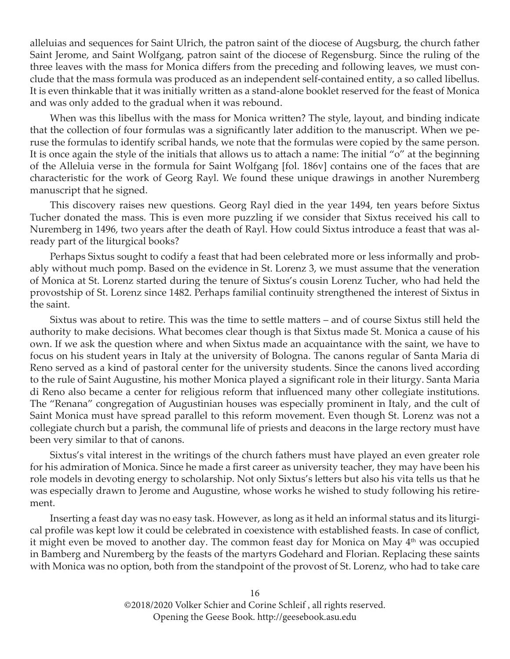alleluias and sequences for Saint Ulrich, the patron saint of the diocese of Augsburg, the church father Saint Jerome, and Saint Wolfgang, patron saint of the diocese of Regensburg. Since the ruling of the three leaves with the mass for Monica differs from the preceding and following leaves, we must conclude that the mass formula was produced as an independent self-contained entity, a so called libellus. It is even thinkable that it was initially written as a stand-alone booklet reserved for the feast of Monica and was only added to the gradual when it was rebound.

When was this libellus with the mass for Monica written? The style, layout, and binding indicate that the collection of four formulas was a significantly later addition to the manuscript. When we peruse the formulas to identify scribal hands, we note that the formulas were copied by the same person. It is once again the style of the initials that allows us to attach a name: The initial "o" at the beginning of the Alleluia verse in the formula for Saint Wolfgang [fol. 186v] contains one of the faces that are characteristic for the work of Georg Rayl. We found these unique drawings in another Nuremberg manuscript that he signed.

This discovery raises new questions. Georg Rayl died in the year 1494, ten years before Sixtus Tucher donated the mass. This is even more puzzling if we consider that Sixtus received his call to Nuremberg in 1496, two years after the death of Rayl. How could Sixtus introduce a feast that was already part of the liturgical books?

Perhaps Sixtus sought to codify a feast that had been celebrated more or less informally and probably without much pomp. Based on the evidence in St. Lorenz 3, we must assume that the veneration of Monica at St. Lorenz started during the tenure of Sixtus's cousin Lorenz Tucher, who had held the provostship of St. Lorenz since 1482. Perhaps familial continuity strengthened the interest of Sixtus in the saint.

Sixtus was about to retire. This was the time to settle matters – and of course Sixtus still held the authority to make decisions. What becomes clear though is that Sixtus made St. Monica a cause of his own. If we ask the question where and when Sixtus made an acquaintance with the saint, we have to focus on his student years in Italy at the university of Bologna. The canons regular of Santa Maria di Reno served as a kind of pastoral center for the university students. Since the canons lived according to the rule of Saint Augustine, his mother Monica played a significant role in their liturgy. Santa Maria di Reno also became a center for religious reform that influenced many other collegiate institutions. The "Renana" congregation of Augustinian houses was especially prominent in Italy, and the cult of Saint Monica must have spread parallel to this reform movement. Even though St. Lorenz was not a collegiate church but a parish, the communal life of priests and deacons in the large rectory must have been very similar to that of canons.

Sixtus's vital interest in the writings of the church fathers must have played an even greater role for his admiration of Monica. Since he made a first career as university teacher, they may have been his role models in devoting energy to scholarship. Not only Sixtus's letters but also his vita tells us that he was especially drawn to Jerome and Augustine, whose works he wished to study following his retirement.

Inserting a feast day was no easy task. However, as long as it held an informal status and its liturgical profile was kept low it could be celebrated in coexistence with established feasts. In case of conflict, it might even be moved to another day. The common feast day for Monica on May 4<sup>th</sup> was occupied in Bamberg and Nuremberg by the feasts of the martyrs Godehard and Florian. Replacing these saints with Monica was no option, both from the standpoint of the provost of St. Lorenz, who had to take care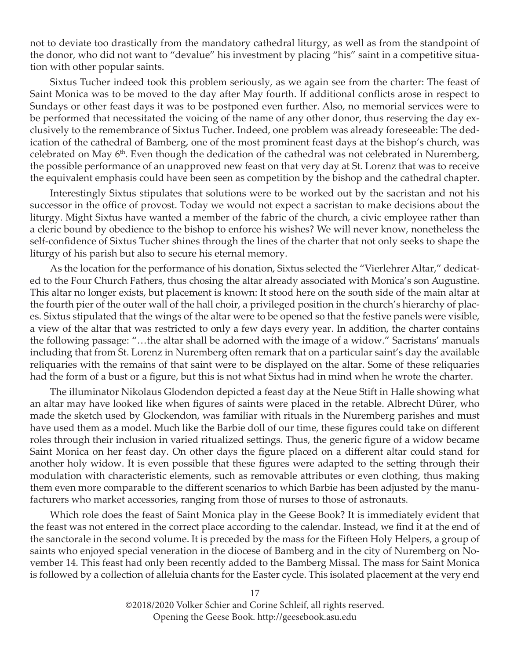not to deviate too drastically from the mandatory cathedral liturgy, as well as from the standpoint of the donor, who did not want to "devalue" his investment by placing "his" saint in a competitive situation with other popular saints.

Sixtus Tucher indeed took this problem seriously, as we again see from the charter: The feast of Saint Monica was to be moved to the day after May fourth. If additional conflicts arose in respect to Sundays or other feast days it was to be postponed even further. Also, no memorial services were to be performed that necessitated the voicing of the name of any other donor, thus reserving the day exclusively to the remembrance of Sixtus Tucher. Indeed, one problem was already foreseeable: The dedication of the cathedral of Bamberg, one of the most prominent feast days at the bishop's church, was celebrated on May  $6<sup>th</sup>$ . Even though the dedication of the cathedral was not celebrated in Nuremberg, the possible performance of an unapproved new feast on that very day at St. Lorenz that was to receive the equivalent emphasis could have been seen as competition by the bishop and the cathedral chapter.

Interestingly Sixtus stipulates that solutions were to be worked out by the sacristan and not his successor in the office of provost. Today we would not expect a sacristan to make decisions about the liturgy. Might Sixtus have wanted a member of the fabric of the church, a civic employee rather than a cleric bound by obedience to the bishop to enforce his wishes? We will never know, nonetheless the self-confidence of Sixtus Tucher shines through the lines of the charter that not only seeks to shape the liturgy of his parish but also to secure his eternal memory.

As the location for the performance of his donation, Sixtus selected the "Vierlehrer Altar," dedicated to the Four Church Fathers, thus chosing the altar already associated with Monica's son Augustine. This altar no longer exists, but placement is known: It stood here on the south side of the main altar at the fourth pier of the outer wall of the hall choir, a privileged position in the church's hierarchy of places. Sixtus stipulated that the wings of the altar were to be opened so that the festive panels were visible, a view of the altar that was restricted to only a few days every year. In addition, the charter contains the following passage: "…the altar shall be adorned with the image of a widow." Sacristans' manuals including that from St. Lorenz in Nuremberg often remark that on a particular saint's day the available reliquaries with the remains of that saint were to be displayed on the altar. Some of these reliquaries had the form of a bust or a figure, but this is not what Sixtus had in mind when he wrote the charter.

The illuminator Nikolaus Glodendon depicted a feast day at the Neue Stift in Halle showing what an altar may have looked like when figures of saints were placed in the retable. Albrecht Dürer, who made the sketch used by Glockendon, was familiar with rituals in the Nuremberg parishes and must have used them as a model. Much like the Barbie doll of our time, these figures could take on different roles through their inclusion in varied ritualized settings. Thus, the generic figure of a widow became Saint Monica on her feast day. On other days the figure placed on a different altar could stand for another holy widow. It is even possible that these figures were adapted to the setting through their modulation with characteristic elements, such as removable attributes or even clothing, thus making them even more comparable to the different scenarios to which Barbie has been adjusted by the manufacturers who market accessories, ranging from those of nurses to those of astronauts.

Which role does the feast of Saint Monica play in the Geese Book? It is immediately evident that the feast was not entered in the correct place according to the calendar. Instead, we find it at the end of the sanctorale in the second volume. It is preceded by the mass for the Fifteen Holy Helpers, a group of saints who enjoyed special veneration in the diocese of Bamberg and in the city of Nuremberg on November 14. This feast had only been recently added to the Bamberg Missal. The mass for Saint Monica is followed by a collection of alleluia chants for the Easter cycle. This isolated placement at the very end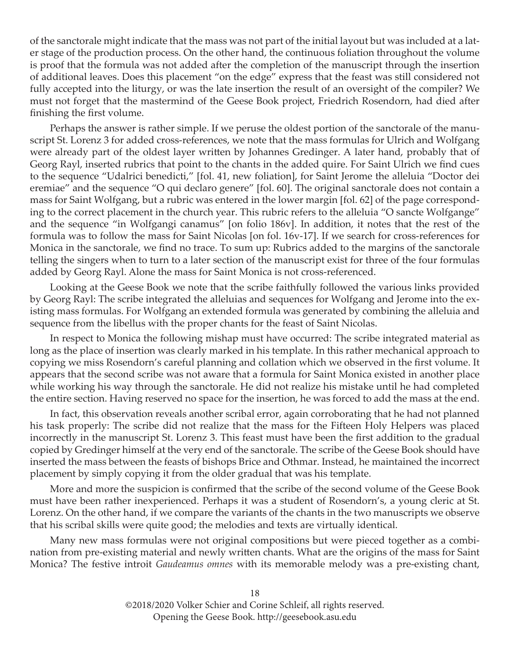of the sanctorale might indicate that the mass was not part of the initial layout but was included at a later stage of the production process. On the other hand, the continuous foliation throughout the volume is proof that the formula was not added after the completion of the manuscript through the insertion of additional leaves. Does this placement "on the edge" express that the feast was still considered not fully accepted into the liturgy, or was the late insertion the result of an oversight of the compiler? We must not forget that the mastermind of the Geese Book project, Friedrich Rosendorn, had died after finishing the first volume.

Perhaps the answer is rather simple. If we peruse the oldest portion of the sanctorale of the manuscript St. Lorenz 3 for added cross-references, we note that the mass formulas for Ulrich and Wolfgang were already part of the oldest layer written by Johannes Gredinger. A later hand, probably that of Georg Rayl, inserted rubrics that point to the chants in the added quire. For Saint Ulrich we find cues to the sequence "Udalrici benedicti," [fol. 41, new foliation], for Saint Jerome the alleluia "Doctor dei eremiae" and the sequence "O qui declaro genere" [fol. 60]. The original sanctorale does not contain a mass for Saint Wolfgang, but a rubric was entered in the lower margin [fol. 62] of the page corresponding to the correct placement in the church year. This rubric refers to the alleluia "O sancte Wolfgange" and the sequence "in Wolfgangi canamus" [on folio 186v]. In addition, it notes that the rest of the formula was to follow the mass for Saint Nicolas [on fol. 16v-17]. If we search for cross-references for Monica in the sanctorale, we find no trace. To sum up: Rubrics added to the margins of the sanctorale telling the singers when to turn to a later section of the manuscript exist for three of the four formulas added by Georg Rayl. Alone the mass for Saint Monica is not cross-referenced.

Looking at the Geese Book we note that the scribe faithfully followed the various links provided by Georg Rayl: The scribe integrated the alleluias and sequences for Wolfgang and Jerome into the existing mass formulas. For Wolfgang an extended formula was generated by combining the alleluia and sequence from the libellus with the proper chants for the feast of Saint Nicolas.

In respect to Monica the following mishap must have occurred: The scribe integrated material as long as the place of insertion was clearly marked in his template. In this rather mechanical approach to copying we miss Rosendorn's careful planning and collation which we observed in the first volume. It appears that the second scribe was not aware that a formula for Saint Monica existed in another place while working his way through the sanctorale. He did not realize his mistake until he had completed the entire section. Having reserved no space for the insertion, he was forced to add the mass at the end.

In fact, this observation reveals another scribal error, again corroborating that he had not planned his task properly: The scribe did not realize that the mass for the Fifteen Holy Helpers was placed incorrectly in the manuscript St. Lorenz 3. This feast must have been the first addition to the gradual copied by Gredinger himself at the very end of the sanctorale. The scribe of the Geese Book should have inserted the mass between the feasts of bishops Brice and Othmar. Instead, he maintained the incorrect placement by simply copying it from the older gradual that was his template.

More and more the suspicion is confirmed that the scribe of the second volume of the Geese Book must have been rather inexperienced. Perhaps it was a student of Rosendorn's, a young cleric at St. Lorenz. On the other hand, if we compare the variants of the chants in the two manuscripts we observe that his scribal skills were quite good; the melodies and texts are virtually identical.

Many new mass formulas were not original compositions but were pieced together as a combination from pre-existing material and newly written chants. What are the origins of the mass for Saint Monica? The festive introit *Gaudeamus omnes* with its memorable melody was a pre-existing chant,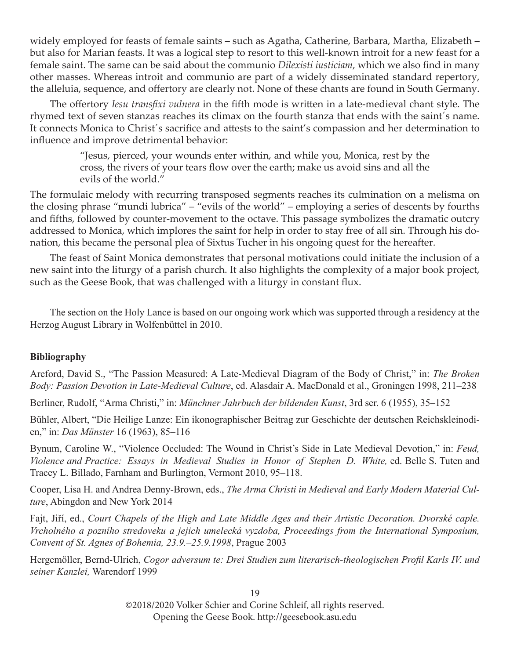widely employed for feasts of female saints – such as Agatha, Catherine, Barbara, Martha, Elizabeth – but also for Marian feasts. It was a logical step to resort to this well-known introit for a new feast for a female saint. The same can be said about the communio *Dilexisti iusticiam*, which we also find in many other masses. Whereas introit and communio are part of a widely disseminated standard repertory, the alleluia, sequence, and offertory are clearly not. None of these chants are found in South Germany.

The offertory *Iesu transfixi vulnera* in the fifth mode is written in a late-medieval chant style. The rhymed text of seven stanzas reaches its climax on the fourth stanza that ends with the saint´s name. It connects Monica to Christ´s sacrifice and attests to the saint's compassion and her determination to influence and improve detrimental behavior:

> "Jesus, pierced, your wounds enter within, and while you, Monica, rest by the cross, the rivers of your tears flow over the earth; make us avoid sins and all the evils of the world."

The formulaic melody with recurring transposed segments reaches its culmination on a melisma on the closing phrase "mundi lubrica" – "evils of the world" – employing a series of descents by fourths and fifths, followed by counter-movement to the octave. This passage symbolizes the dramatic outcry addressed to Monica, which implores the saint for help in order to stay free of all sin. Through his donation, this became the personal plea of Sixtus Tucher in his ongoing quest for the hereafter.

The feast of Saint Monica demonstrates that personal motivations could initiate the inclusion of a new saint into the liturgy of a parish church. It also highlights the complexity of a major book project, such as the Geese Book, that was challenged with a liturgy in constant flux.

The section on the Holy Lance is based on our ongoing work which was supported through a residency at the Herzog August Library in Wolfenbüttel in 2010.

#### **Bibliography**

Areford, David S., "The Passion Measured: A Late-Medieval Diagram of the Body of Christ," in: *The Broken Body: Passion Devotion in Late-Medieval Culture*, ed. Alasdair A. MacDonald et al., Groningen 1998, 211–238

Berliner, Rudolf, "Arma Christi," in: *Münchner Jahrbuch der bildenden Kunst*, 3rd ser. 6 (1955), 35–152

Bühler, Albert, "Die Heilige Lanze: Ein ikonographischer Beitrag zur Geschichte der deutschen Reichskleinodien," in: *Das Münster* 16 (1963), 85–116

Bynum, Caroline W., "Violence Occluded: The Wound in Christ's Side in Late Medieval Devotion," in: *Feud, Violence and Practice: Essays in Medieval Studies in Honor of Stephen D. White,* ed. Belle S. Tuten and Tracey L. Billado, Farnham and Burlington, Vermont 2010, 95–118.

Cooper, Lisa H. and Andrea Denny-Brown, eds., *The Arma Christi in Medieval and Early Modern Material Culture*, Abingdon and New York 2014

Fajt, Jiří, ed., *Court Chapels of the High and Late Middle Ages and their Artistic Decoration. Dvorské caple. Vrcholného a pozního stredoveku a jejich umelecká vyzdoba, Proceedings from the International Symposium, Convent of St. Agnes of Bohemia, 23.9.–25.9.1998*, Prague 2003

Hergemöller, Bernd-Ulrich, *Cogor adversum te: Drei Studien zum literarisch-theologischen Profil Karls IV. und seiner Kanzlei,* Warendorf 1999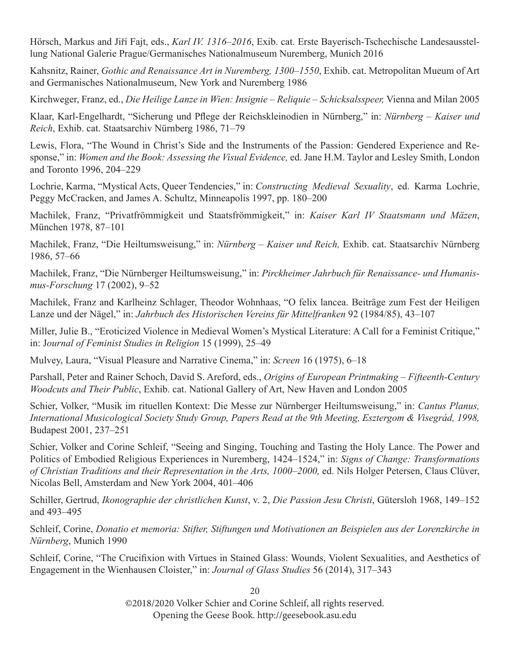Hörsch, Markus and Jiří Fajt, eds., *Karl IV. 1316–2016*, Exib. cat. Erste Bayerisch-Tschechische Landesausstellung National Galerie Prague/Germanisches Nationalmuseum Nuremberg, Munich 2016

Kahsnitz, Rainer, *Gothic and Renaissance Art in Nuremberg, 1300–1550*, Exhib. cat. Metropolitan Mueum of Art and Germanisches Nationalmuseum, New York and Nuremberg 1986

Kirchweger, Franz, ed., *Die Heilige Lanze in Wien: Insignie – Reliquie – Schicksalsspeer,* Vienna and Milan 2005

Klaar, Karl-Engelhardt, "Sicherung und Pflege der Reichskleinodien in Nürnberg," in: *Nürnberg – Kaiser und Reich*, Exhib. cat. Staatsarchiv Nürnberg 1986, 71–79

Lewis, Flora, "The Wound in Christ's Side and the Instruments of the Passion: Gendered Experience and Response," in: *Women and the Book: Assessing the Visual Evidence,* ed. Jane H.M. Taylor and Lesley Smith, London and Toronto 1996, 204–229

Lochrie, Karma, "Mystical Acts, Queer Tendencies," in: *Constructing Medieval Sexuality*, ed. Karma Lochrie, Peggy McCracken, and James A. Schultz, Minneapolis 1997, pp. 180–200

Machilek, Franz, "Privatfrömmigkeit und Staatsfrömmigkeit," in: *Kaiser Karl IV Staatsmann und Mäzen*, München 1978, 87–101

Machilek, Franz, "Die Heiltumsweisung," in: *Nürnberg – Kaiser und Reich,* Exhib. cat. Staatsarchiv Nürnberg 1986, 57–66

Machilek, Franz, "Die Nürnberger Heiltumsweisung," in: *Pirckheimer Jahrbuch für Renaissance- und Humanismus-Forschung* 17 (2002), 9–52

Machilek, Franz and Karlheinz Schlager, Theodor Wohnhaas, "O felix lancea. Beiträge zum Fest der Heiligen Lanze und der Nägel," in: *Jahrbuch des Historischen Vereins für Mittelfranken* 92 (1984/85), 43–107

Miller, Julie B., "Eroticized Violence in Medieval Women's Mystical Literature: A Call for a Feminist Critique," in: J*ournal of Feminist Studies in Religion* 15 (1999), 25–49

Mulvey, Laura, "Visual Pleasure and Narrative Cinema," in: *Screen* 16 (1975), 6–18

Parshall, Peter and Rainer Schoch, David S. Areford, eds., *Origins of European Printmaking – Fifteenth-Century Woodcuts and Their Public*, Exhib. cat. National Gallery of Art, New Haven and London 2005

Schier, Volker, "Musik im rituellen Kontext: Die Messe zur Nürnberger Heiltumsweisung," in: *Cantus Planus, International Musicological Society Study Group, Papers Read at the 9th Meeting, Esztergom & Visegrád, 1998,*  Budapest 2001, 237–251

Schier, Volker and Corine Schleif, "Seeing and Singing, Touching and Tasting the Holy Lance. The Power and Politics of Embodied Religious Experiences in Nuremberg, 1424–1524," in: *Signs of Change: Transformations of Christian Traditions and their Representation in the Arts, 1000–2000,* ed. Nils Holger Petersen, Claus Clüver, Nicolas Bell, Amsterdam and New York 2004, 401–406

Schiller, Gertrud, *Ikonographie der christlichen Kunst*, v. 2, *Die Passion Jesu Christi*, Gütersloh 1968, 149–152 and 493–495

Schleif, Corine, *Donatio et memoria: Stifter, Stiftungen und Motivationen an Beispielen aus der Lorenzkirche in Nürnberg*, Munich 1990

Schleif, Corine, "The Crucifixion with Virtues in Stained Glass: Wounds, Violent Sexualities, and Aesthetics of Engagement in the Wienhausen Cloister," in: *Journal of Glass Studies* 56 (2014), 317–343